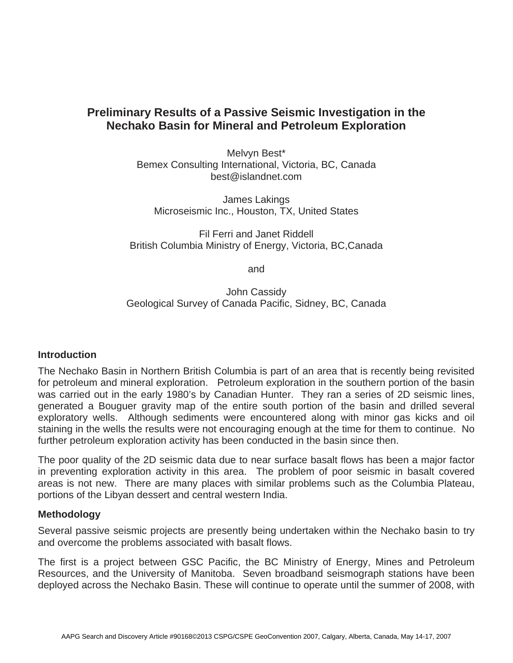# **Preliminary Results of a Passive Seismic Investigation in the Nechako Basin for Mineral and Petroleum Exploration**

Melvyn Best\* Bemex Consulting International, Victoria, BC, Canada best@islandnet.com

James Lakings Microseismic Inc., Houston, TX, United States

Fil Ferri and Janet Riddell British Columbia Ministry of Energy, Victoria, BC,Canada

and

John Cassidy Geological Survey of Canada Pacific, Sidney, BC, Canada

## **Introduction**

The Nechako Basin in Northern British Columbia is part of an area that is recently being revisited for petroleum and mineral exploration. Petroleum exploration in the southern portion of the basin was carried out in the early 1980's by Canadian Hunter. They ran a series of 2D seismic lines, generated a Bouguer gravity map of the entire south portion of the basin and drilled several exploratory wells. Although sediments were encountered along with minor gas kicks and oil staining in the wells the results were not encouraging enough at the time for them to continue. No further petroleum exploration activity has been conducted in the basin since then.

The poor quality of the 2D seismic data due to near surface basalt flows has been a major factor in preventing exploration activity in this area. The problem of poor seismic in basalt covered areas is not new. There are many places with similar problems such as the Columbia Plateau, portions of the Libyan dessert and central western India.

## **Methodology**

Several passive seismic projects are presently being undertaken within the Nechako basin to try and overcome the problems associated with basalt flows.

The first is a project between GSC Pacific, the BC Ministry of Energy, Mines and Petroleum Resources, and the University of Manitoba. Seven broadband seismograph stations have been deployed across the Nechako Basin. These will continue to operate until the summer of 2008, with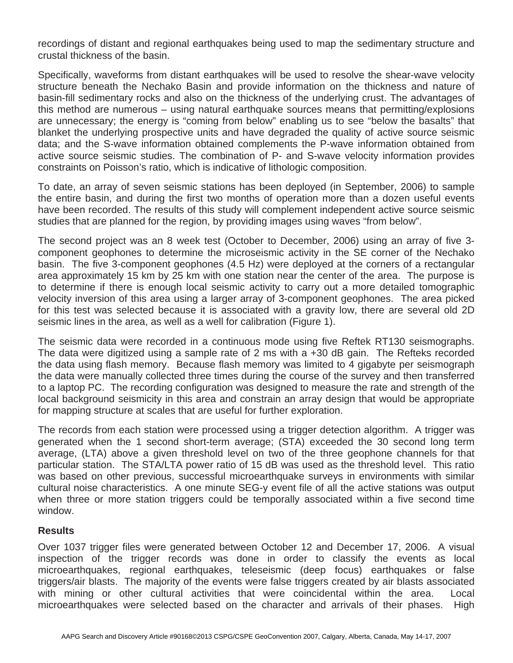recordings of distant and regional earthquakes being used to map the sedimentary structure and crustal thickness of the basin.

Specifically, waveforms from distant earthquakes will be used to resolve the shear-wave velocity structure beneath the Nechako Basin and provide information on the thickness and nature of basin-fill sedimentary rocks and also on the thickness of the underlying crust. The advantages of this method are numerous – using natural earthquake sources means that permitting/explosions are unnecessary; the energy is "coming from below" enabling us to see "below the basalts" that blanket the underlying prospective units and have degraded the quality of active source seismic data; and the S-wave information obtained complements the P-wave information obtained from active source seismic studies. The combination of P- and S-wave velocity information provides constraints on Poisson's ratio, which is indicative of lithologic composition.

To date, an array of seven seismic stations has been deployed (in September, 2006) to sample the entire basin, and during the first two months of operation more than a dozen useful events have been recorded. The results of this study will complement independent active source seismic studies that are planned for the region, by providing images using waves "from below".

The second project was an 8 week test (October to December, 2006) using an array of five 3 component geophones to determine the microseismic activity in the SE corner of the Nechako basin. The five 3-component geophones (4.5 Hz) were deployed at the corners of a rectangular area approximately 15 km by 25 km with one station near the center of the area. The purpose is to determine if there is enough local seismic activity to carry out a more detailed tomographic velocity inversion of this area using a larger array of 3-component geophones. The area picked for this test was selected because it is associated with a gravity low, there are several old 2D seismic lines in the area, as well as a well for calibration (Figure 1).

The seismic data were recorded in a continuous mode using five Reftek RT130 seismographs. The data were digitized using a sample rate of 2 ms with a +30 dB gain. The Refteks recorded the data using flash memory. Because flash memory was limited to 4 gigabyte per seismograph the data were manually collected three times during the course of the survey and then transferred to a laptop PC. The recording configuration was designed to measure the rate and strength of the local background seismicity in this area and constrain an array design that would be appropriate for mapping structure at scales that are useful for further exploration.

The records from each station were processed using a trigger detection algorithm. A trigger was generated when the 1 second short-term average; (STA) exceeded the 30 second long term average, (LTA) above a given threshold level on two of the three geophone channels for that particular station. The STA/LTA power ratio of 15 dB was used as the threshold level. This ratio was based on other previous, successful microearthquake surveys in environments with similar cultural noise characteristics. A one minute SEG-y event file of all the active stations was output when three or more station triggers could be temporally associated within a five second time window.

## **Results**

Over 1037 trigger files were generated between October 12 and December 17, 2006. A visual inspection of the trigger records was done in order to classify the events as local microearthquakes, regional earthquakes, teleseismic (deep focus) earthquakes or false triggers/air blasts. The majority of the events were false triggers created by air blasts associated with mining or other cultural activities that were coincidental within the area. Local microearthquakes were selected based on the character and arrivals of their phases. High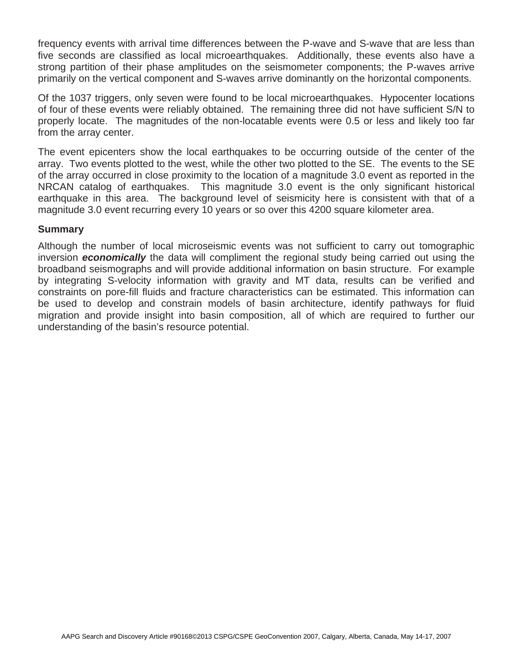frequency events with arrival time differences between the P-wave and S-wave that are less than five seconds are classified as local microearthquakes. Additionally, these events also have a strong partition of their phase amplitudes on the seismometer components; the P-waves arrive primarily on the vertical component and S-waves arrive dominantly on the horizontal components.

Of the 1037 triggers, only seven were found to be local microearthquakes. Hypocenter locations of four of these events were reliably obtained. The remaining three did not have sufficient S/N to properly locate. The magnitudes of the non-locatable events were 0.5 or less and likely too far from the array center.

The event epicenters show the local earthquakes to be occurring outside of the center of the array. Two events plotted to the west, while the other two plotted to the SE. The events to the SE of the array occurred in close proximity to the location of a magnitude 3.0 event as reported in the NRCAN catalog of earthquakes. This magnitude 3.0 event is the only significant historical earthquake in this area. The background level of seismicity here is consistent with that of a magnitude 3.0 event recurring every 10 years or so over this 4200 square kilometer area.

### **Summary**

Although the number of local microseismic events was not sufficient to carry out tomographic inversion *economically* the data will compliment the regional study being carried out using the broadband seismographs and will provide additional information on basin structure. For example by integrating S-velocity information with gravity and MT data, results can be verified and constraints on pore-fill fluids and fracture characteristics can be estimated. This information can be used to develop and constrain models of basin architecture, identify pathways for fluid migration and provide insight into basin composition, all of which are required to further our understanding of the basin's resource potential.